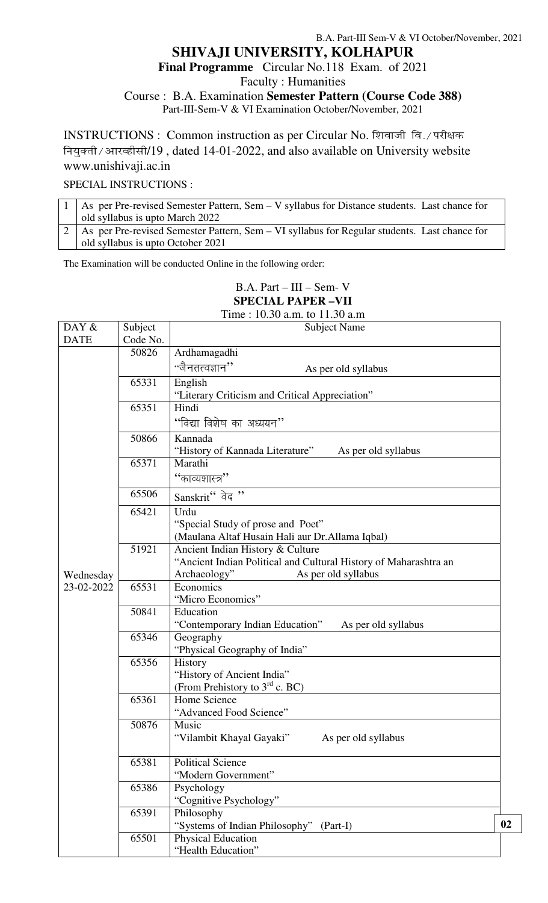#### B.A. Part-III Sem-V & VI October/November, 2021 **SHIVAJI UNIVERSITY, KOLHAPUR Final Programme** Circular No.118 Exam. of 2021 Faculty : Humanities Course : B.A. Examination **Semester Pattern (Course Code 388)** Part-III-Sem-V & VI Examination October/November, 2021

INSTRUCTIONS : Common instruction as per Circular No. शिवाजी वि./ परीक्षक नियुक्ती / आरव्हीसी/19, dated 14-01-2022, and also available on University website www.unishivaji.ac.in

SPECIAL INSTRUCTIONS :

| 1   As per Pre-revised Semester Pattern, Sem – V syllabus for Distance students. Last chance for |
|--------------------------------------------------------------------------------------------------|
| old syllabus is upto March 2022                                                                  |
| 2   As per Pre-revised Semester Pattern, Sem – VI syllabus for Regular students. Last chance for |
| old syllabus is upto October 2021                                                                |

The Examination will be conducted Online in the following order:

### B.A. Part – III – Sem- V **SPECIAL PAPER –VII**

Time : 10.30 a.m. to 11.30 a.m

| DAY $\&$    | Subject  | <b>Subject Name</b>                                                 |    |
|-------------|----------|---------------------------------------------------------------------|----|
| <b>DATE</b> | Code No. |                                                                     |    |
|             | 50826    | Ardhamagadhi                                                        |    |
|             |          | "जैनतत्वज्ञान''<br>As per old syllabus                              |    |
|             | 65331    | English                                                             |    |
|             |          | "Literary Criticism and Critical Appreciation"                      |    |
|             | 65351    | Hindi                                                               |    |
|             |          | "विद्या विशेष का अध्ययन"                                            |    |
|             | 50866    | Kannada                                                             |    |
|             |          | "History of Kannada Literature"<br>As per old syllabus              |    |
|             | 65371    | Marathi                                                             |    |
|             |          | ''काव्यशास्त्र''                                                    |    |
|             | 65506    | Sanskrit" वेद"                                                      |    |
|             | 65421    | Urdu                                                                |    |
|             |          | "Special Study of prose and Poet"                                   |    |
|             |          | (Maulana Altaf Husain Hali aur Dr. Allama Iqbal)                    |    |
|             | 51921    | Ancient Indian History & Culture                                    |    |
|             |          | "Ancient Indian Political and Cultural History of Maharashtra an    |    |
| Wednesday   |          | As per old syllabus<br>Archaeology"                                 |    |
| 23-02-2022  | 65531    | Economics                                                           |    |
|             |          | "Micro Economics"                                                   |    |
|             | 50841    | Education                                                           |    |
|             | 65346    | "Contemporary Indian Education"<br>As per old syllabus<br>Geography |    |
|             |          | "Physical Geography of India"                                       |    |
|             | 65356    | History                                                             |    |
|             |          | "History of Ancient India"                                          |    |
|             |          | (From Prehistory to $3rd$ c. BC)                                    |    |
|             | 65361    | Home Science                                                        |    |
|             |          | "Advanced Food Science"                                             |    |
|             | 50876    | Music                                                               |    |
|             |          | "Vilambit Khayal Gayaki"<br>As per old syllabus                     |    |
|             | 65381    | <b>Political Science</b>                                            |    |
|             |          | "Modern Government"                                                 |    |
|             | 65386    | Psychology                                                          |    |
|             |          | "Cognitive Psychology"                                              |    |
|             | 65391    | Philosophy                                                          |    |
|             |          | "Systems of Indian Philosophy" (Part-I)                             | 02 |
|             | 65501    | Physical Education                                                  |    |
|             |          | "Health Education"                                                  |    |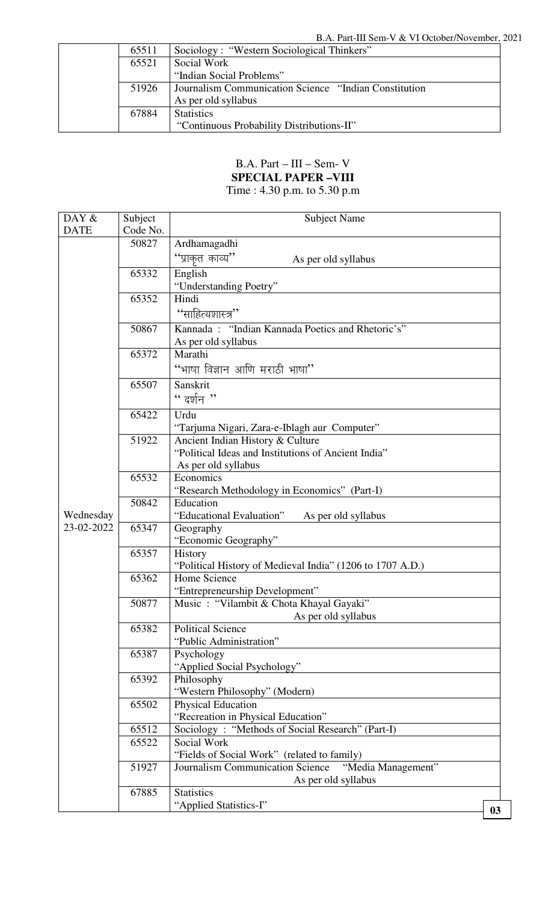| 65511 | Sociology: "Western Sociological Thinkers"             |
|-------|--------------------------------------------------------|
| 65521 | Social Work                                            |
|       | "Indian Social Problems"                               |
| 51926 | Journalism Communication Science "Indian Constitution" |
|       | As per old syllabus                                    |
| 67884 | <b>Statistics</b>                                      |
|       | "Continuous Probability Distributions-II"              |

## B.A. Part – III – Sem- V **SPECIAL PAPER –VIII**

Time : 4.30 p.m. to 5.30 p.m

| DAY &       | Subject  | <b>Subject Name</b>                                                       |                |
|-------------|----------|---------------------------------------------------------------------------|----------------|
| <b>DATE</b> | Code No. |                                                                           |                |
|             | 50827    | Ardhamagadhi                                                              |                |
|             |          | ''प्राकृत काव्य''<br>As per old syllabus                                  |                |
|             | 65332    | English                                                                   |                |
|             |          | "Understanding Poetry"                                                    |                |
|             | 65352    | Hindi                                                                     |                |
|             |          | ''साहित्यशास्त्र''                                                        |                |
|             | 50867    | Kannada: "Indian Kannada Poetics and Rhetoric's"                          |                |
|             |          | As per old syllabus                                                       |                |
|             | 65372    | Marathi                                                                   |                |
|             |          | "भाषा विज्ञान आणि मराठी भाषा"                                             |                |
|             | 65507    | Sanskrit                                                                  |                |
|             |          | " दर्शन "                                                                 |                |
|             | 65422    | Urdu                                                                      |                |
|             |          | "Tarjuma Nigari, Zara-e-Iblagh aur Computer"                              |                |
|             | 51922    | Ancient Indian History & Culture                                          |                |
|             |          | "Political Ideas and Institutions of Ancient India"                       |                |
|             |          | As per old syllabus                                                       |                |
|             | 65532    | Economics<br>"Research Methodology in Economics" (Part-I)                 |                |
|             | 50842    | Education                                                                 |                |
| Wednesday   |          | "Educational Evaluation"<br>As per old syllabus                           |                |
| 23-02-2022  | 65347    | Geography                                                                 |                |
|             |          | "Economic Geography"                                                      |                |
|             | 65357    | History                                                                   |                |
|             |          | "Political History of Medieval India" (1206 to 1707 A.D.)                 |                |
|             | 65362    | Home Science                                                              |                |
|             | 50877    | "Entrepreneurship Development"<br>Music: "Vilambit & Chota Khayal Gayaki" |                |
|             |          | As per old syllabus                                                       |                |
|             | 65382    | <b>Political Science</b>                                                  |                |
|             |          | "Public Administration"                                                   |                |
|             | 65387    | Psychology                                                                |                |
|             |          | "Applied Social Psychology"                                               |                |
|             | 65392    | Philosophy                                                                |                |
|             | 65502    | "Western Philosophy" (Modern)<br><b>Physical Education</b>                |                |
|             |          | "Recreation in Physical Education"                                        |                |
|             | 65512    | Sociology: "Methods of Social Research" (Part-I)                          |                |
|             | 65522    | Social Work                                                               |                |
|             |          | "Fields of Social Work" (related to family)                               |                |
|             | 51927    | Journalism Communication Science<br>"Media Management"                    |                |
|             |          | As per old syllabus                                                       |                |
|             | 67885    | <b>Statistics</b>                                                         |                |
|             |          | "Applied Statistics-I"                                                    | 0 <sub>3</sub> |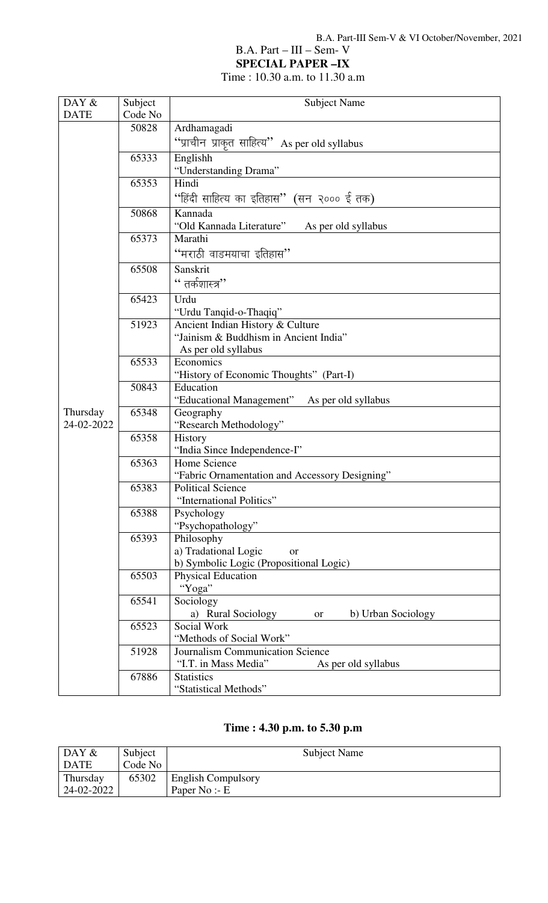## B.A. Part – III – Sem- V

**SPECIAL PAPER –IX** 

Time : 10.30 a.m. to 11.30 a.m

# **Time : 4.30 p.m. to 5.30 p.m**

| $\overline{DAY}$ & | Subject | <b>Subject Name</b>       |
|--------------------|---------|---------------------------|
| DATE               | Code No |                           |
| Thursday           | 65302   | <b>English Compulsory</b> |
| 24-02-2022         |         | Paper No:- $E$            |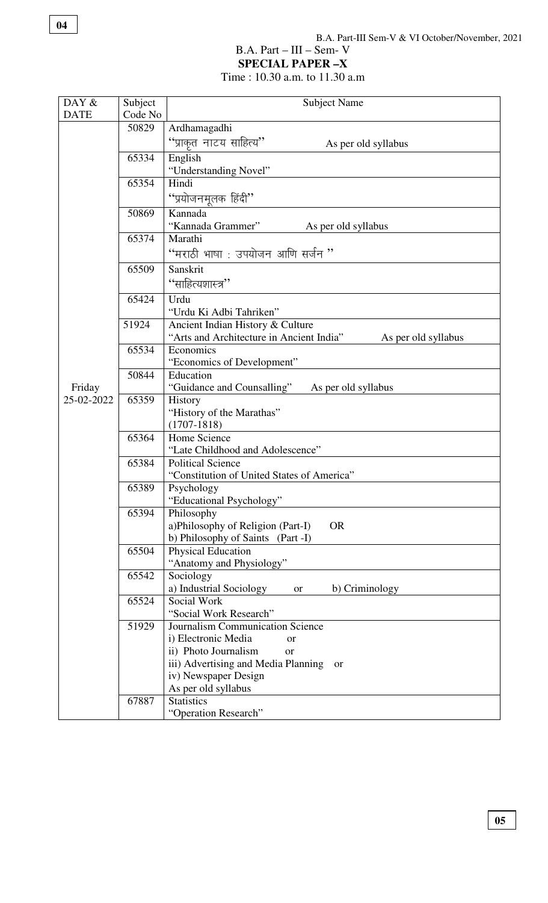## B.A. Part – III – Sem- V

**SPECIAL PAPER –X** 

Time : 10.30 a.m. to 11.30 a.m

| DAY &       | Subject | <b>Subject Name</b>                                                          |
|-------------|---------|------------------------------------------------------------------------------|
| <b>DATE</b> | Code No |                                                                              |
|             | 50829   | Ardhamagadhi                                                                 |
|             |         | "प्राकृत नाटय साहित्य"<br>As per old syllabus                                |
|             | 65334   | English                                                                      |
|             |         | "Understanding Novel"                                                        |
|             | 65354   | Hindi                                                                        |
|             |         | ''प्रयोजनमूलक हिंदी''                                                        |
|             | 50869   | Kannada                                                                      |
|             |         | "Kannada Grammer"<br>As per old syllabus                                     |
|             | 65374   | Marathi                                                                      |
|             |         | "मराठी भाषा : उपयोजन आणि सर्जन "                                             |
|             | 65509   | Sanskrit                                                                     |
|             |         | ''साहित्यशास्त्र''                                                           |
|             | 65424   | Urdu                                                                         |
|             |         | "Urdu Ki Adbi Tahriken"                                                      |
|             | 51924   | Ancient Indian History & Culture                                             |
|             |         | "Arts and Architecture in Ancient India"<br>As per old syllabus              |
|             | 65534   | Economics                                                                    |
|             |         | "Economics of Development"                                                   |
|             | 50844   | Education                                                                    |
| Friday      |         | "Guidance and Counsalling"<br>As per old syllabus                            |
| 25-02-2022  | 65359   | History                                                                      |
|             |         | "History of the Marathas"                                                    |
|             |         | $(1707 - 1818)$                                                              |
|             | 65364   | Home Science<br>"Late Childhood and Adolescence"                             |
|             | 65384   | <b>Political Science</b>                                                     |
|             |         | "Constitution of United States of America"                                   |
|             | 65389   | Psychology                                                                   |
|             |         | 'Educational Psychology"                                                     |
|             | 65394   | Philosophy                                                                   |
|             |         | a)Philosophy of Religion (Part-I)<br><b>OR</b>                               |
|             |         | b) Philosophy of Saints (Part -I)                                            |
|             | 65504   | <b>Physical Education</b>                                                    |
|             |         | "Anatomy and Physiology"                                                     |
|             | 65542   | Sociology                                                                    |
|             |         | a) Industrial Sociology<br>b) Criminology<br><b>or</b>                       |
|             | 65524   | Social Work                                                                  |
|             |         | "Social Work Research"                                                       |
|             | 51929   | Journalism Communication Science                                             |
|             |         | i) Electronic Media<br>or                                                    |
|             |         | ii) Photo Journalism<br><b>or</b>                                            |
|             |         | iii) Advertising and Media Planning<br><sub>or</sub><br>iv) Newspaper Design |
|             |         | As per old syllabus                                                          |
|             | 67887   | <b>Statistics</b>                                                            |
|             |         | "Operation Research"                                                         |
|             |         |                                                                              |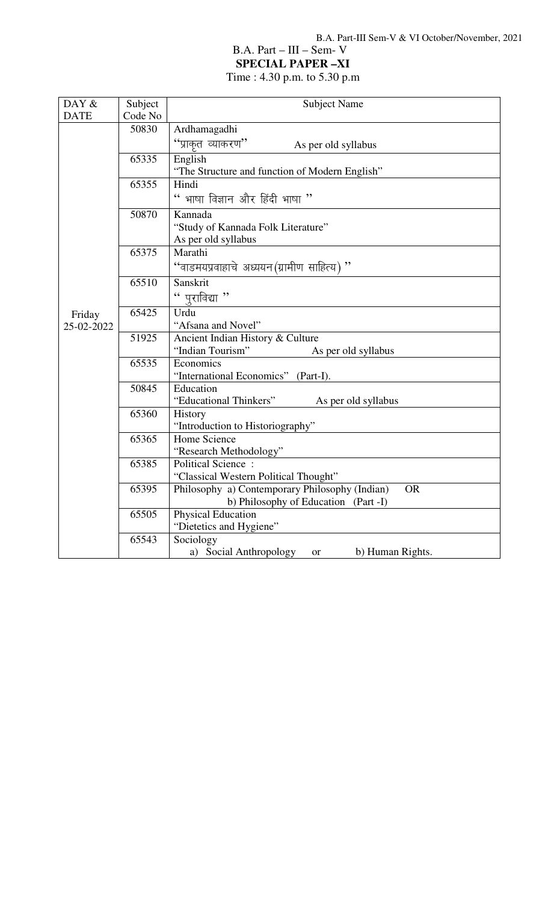## B.A. Part – III – Sem- V

**SPECIAL PAPER –XI** 

Time : 4.30 p.m. to 5.30 p.m

| DAY &       | Subject | <b>Subject Name</b>                                         |
|-------------|---------|-------------------------------------------------------------|
| <b>DATE</b> | Code No |                                                             |
|             | 50830   | Ardhamagadhi                                                |
|             |         | "प्राकुत व्याकरण"<br>As per old syllabus                    |
|             | 65335   | English                                                     |
|             |         | "The Structure and function of Modern English"              |
|             | 65355   | Hindi                                                       |
|             |         | " भाषा विज्ञान और हिंदी भाषा "                              |
|             | 50870   | Kannada                                                     |
|             |         | "Study of Kannada Folk Literature"                          |
|             |         | As per old syllabus                                         |
|             | 65375   | Marathi                                                     |
|             |         | " 'वाडमयप्रवाहाचे अध्ययन (ग्रामीण साहित्य)                  |
|             | 65510   | Sanskrit                                                    |
|             |         | " पुराविद्या "                                              |
| Friday      | 65425   | Urdu                                                        |
| 25-02-2022  |         | "Afsana and Novel"                                          |
|             | 51925   | Ancient Indian History & Culture                            |
|             |         | "Indian Tourism"<br>As per old syllabus                     |
|             | 65535   | Economics                                                   |
|             |         | "International Economics" (Part-I).                         |
|             | 50845   | Education                                                   |
|             |         | "Educational Thinkers"<br>As per old syllabus               |
|             | 65360   | History                                                     |
|             | 65365   | "Introduction to Historiography"<br>Home Science            |
|             |         | "Research Methodology"                                      |
|             | 65385   | <b>Political Science:</b>                                   |
|             |         | "Classical Western Political Thought"                       |
|             | 65395   | Philosophy a) Contemporary Philosophy (Indian)<br><b>OR</b> |
|             |         | b) Philosophy of Education (Part -I)                        |
|             | 65505   | Physical Education                                          |
|             |         | "Dietetics and Hygiene"                                     |
|             | 65543   | Sociology                                                   |
|             |         | a) Social Anthropology<br>b) Human Rights.<br><sub>or</sub> |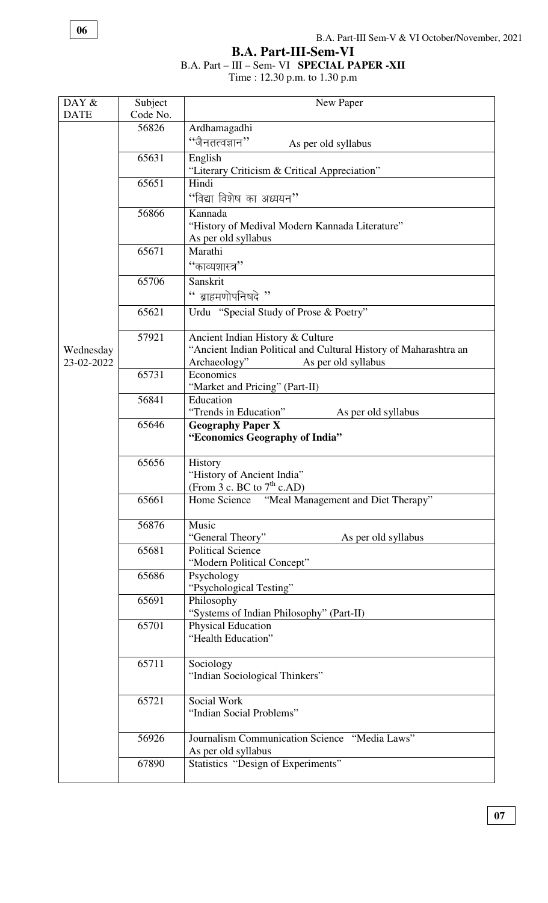**B.A. Part-III-Sem-VI**

#### B.A. Part – III – Sem- VI **SPECIAL PAPER -XII**

Time : 12.30 p.m. to 1.30 p.m

| DAY &       | Subject  | New Paper                                                                          |
|-------------|----------|------------------------------------------------------------------------------------|
| <b>DATE</b> | Code No. |                                                                                    |
|             | 56826    | Ardhamagadhi                                                                       |
|             |          | $``$ जैनतत्वज्ञान $"$<br>As per old syllabus                                       |
|             | 65631    | English                                                                            |
|             |          | "Literary Criticism & Critical Appreciation"                                       |
|             | 65651    | Hindi                                                                              |
|             |          | ''विद्या विशेष का अध्ययन''                                                         |
|             | 56866    | Kannada                                                                            |
|             |          | "History of Medival Modern Kannada Literature"                                     |
|             |          | As per old syllabus                                                                |
|             | 65671    | Marathi                                                                            |
|             |          | ''काव्यशास्त्र''                                                                   |
|             | 65706    | Sanskrit                                                                           |
|             |          | " ब्राहमणोपनिषदे "                                                                 |
|             | 65621    | Urdu "Special Study of Prose & Poetry"                                             |
|             |          |                                                                                    |
|             | 57921    | Ancient Indian History & Culture                                                   |
| Wednesday   |          | "Ancient Indian Political and Cultural History of Maharashtra an                   |
| 23-02-2022  |          | As per old syllabus<br>Archaeology"                                                |
|             | 65731    | Economics<br>"Market and Pricing" (Part-II)                                        |
|             | 56841    | Education                                                                          |
|             |          | "Trends in Education"<br>As per old syllabus                                       |
|             | 65646    | <b>Geography Paper X</b>                                                           |
|             |          | "Economics Geography of India"                                                     |
|             |          |                                                                                    |
|             | 65656    | History                                                                            |
|             |          | "History of Ancient India"                                                         |
|             | 65661    | (From 3 c. BC to $7th$ c.AD)<br>Home Science<br>"Meal Management and Diet Therapy" |
|             |          |                                                                                    |
|             | 56876    | Music                                                                              |
|             |          | "General Theory"<br>As per old syllabus                                            |
|             | 65681    | <b>Political Science</b>                                                           |
|             |          | "Modern Political Concept"                                                         |
|             | 65686    | Psychology                                                                         |
|             |          | "Psychological Testing"                                                            |
|             | 65691    | Philosophy<br>"Systems of Indian Philosophy" (Part-II)                             |
|             | 65701    | <b>Physical Education</b>                                                          |
|             |          | "Health Education"                                                                 |
|             |          |                                                                                    |
|             | 65711    | Sociology                                                                          |
|             |          | "Indian Sociological Thinkers"                                                     |
|             |          |                                                                                    |
|             | 65721    | Social Work                                                                        |
|             |          | "Indian Social Problems"                                                           |
|             | 56926    | Journalism Communication Science "Media Laws"                                      |
|             |          | As per old syllabus                                                                |
|             | 67890    | Statistics "Design of Experiments"                                                 |
|             |          |                                                                                    |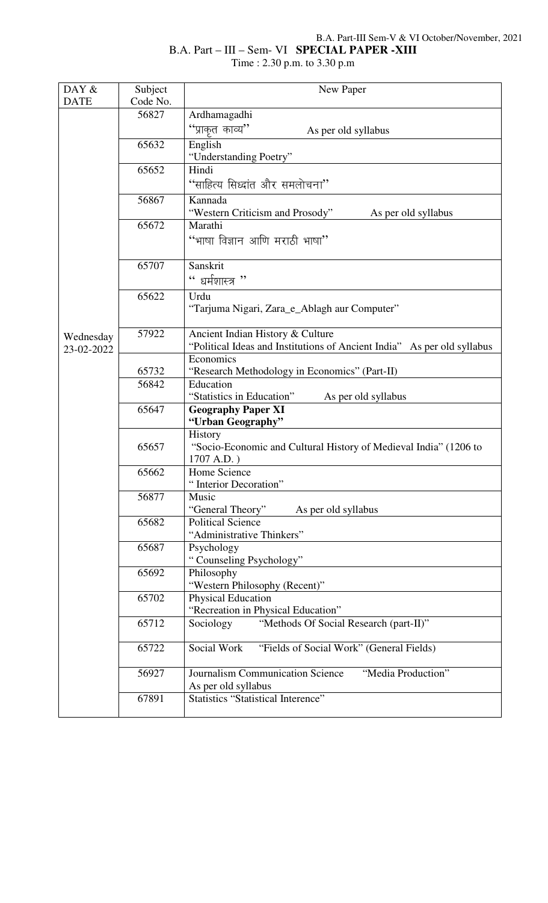## B.A. Part-III Sem-V & VI October/November, 2021

## B.A. Part – III – Sem- VI **SPECIAL PAPER -XIII**  Time : 2.30 p.m. to 3.30 p.m

| <b>DATE</b><br>Code No.<br>56827<br>Ardhamagadhi                                                   |  |
|----------------------------------------------------------------------------------------------------|--|
|                                                                                                    |  |
|                                                                                                    |  |
| "प्राकृत काव्य"<br>As per old syllabus                                                             |  |
| 65632<br>English                                                                                   |  |
| "Understanding Poetry"                                                                             |  |
| 65652<br>Hindi                                                                                     |  |
| "साहित्य सिध्दांत और समलोचना"                                                                      |  |
| 56867<br>Kannada                                                                                   |  |
| "Western Criticism and Prosody"<br>As per old syllabus<br>65672<br>Marathi                         |  |
|                                                                                                    |  |
| "भाषा विज्ञान आणि मराठी भाषा"                                                                      |  |
| 65707<br>Sanskrit                                                                                  |  |
| " धर्मशास्त्र "                                                                                    |  |
| 65622<br>Urdu                                                                                      |  |
| "Tarjuma Nigari, Zara_e_Ablagh aur Computer"                                                       |  |
| 57922<br>Ancient Indian History & Culture                                                          |  |
| Wednesday<br>"Political Ideas and Institutions of Ancient India" As per old syllabus<br>23-02-2022 |  |
| Economics                                                                                          |  |
| 65732<br>"Research Methodology in Economics" (Part-II)                                             |  |
| Education<br>56842                                                                                 |  |
| "Statistics in Education"<br>As per old syllabus                                                   |  |
| 65647<br><b>Geography Paper XI</b><br>"Urban Geography"                                            |  |
| History                                                                                            |  |
| 65657<br>"Socio-Economic and Cultural History of Medieval India" (1206 to                          |  |
| 1707 A.D.)                                                                                         |  |
| 65662<br>Home Science                                                                              |  |
| Interior Decoration"                                                                               |  |
| 56877<br>Music                                                                                     |  |
| "General Theory"<br>As per old syllabus                                                            |  |
| 65682<br><b>Political Science</b><br>"Administrative Thinkers"                                     |  |
| 65687<br>Psychology                                                                                |  |
| "Counseling Psychology"                                                                            |  |
| 65692<br>Philosophy                                                                                |  |
| "Western Philosophy (Recent)"                                                                      |  |
| 65702<br>Physical Education                                                                        |  |
| "Recreation in Physical Education"                                                                 |  |
| "Methods Of Social Research (part-II)"<br>65712<br>Sociology                                       |  |
| Social Work<br>"Fields of Social Work" (General Fields)<br>65722                                   |  |
| Journalism Communication Science<br>"Media Production"<br>56927                                    |  |
| As per old syllabus                                                                                |  |
| 67891<br><b>Statistics "Statistical Interence"</b>                                                 |  |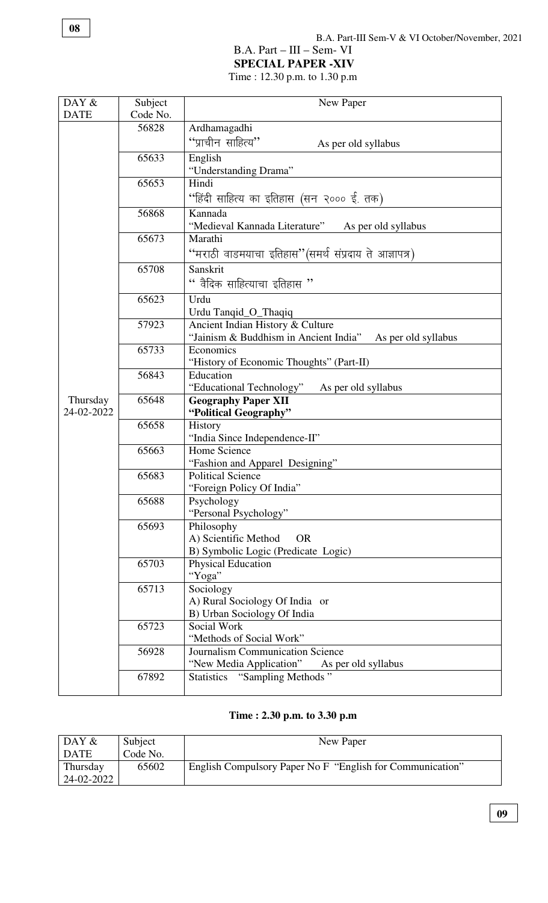#### B.A. Part – III – Sem- VI

**SPECIAL PAPER -XIV** 

Time : 12.30 p.m. to 1.30 p.m

| DAY &                  | Subject  | New Paper                                                    |
|------------------------|----------|--------------------------------------------------------------|
| <b>DATE</b>            | Code No. |                                                              |
|                        | 56828    | Ardhamagadhi                                                 |
|                        |          | "प्राचीन साहित्य"<br>As per old syllabus                     |
|                        | 65633    | English                                                      |
|                        |          | "Understanding Drama"                                        |
|                        | 65653    | Hindi                                                        |
|                        |          | ''हिंदी साहित्य का इतिहास (सन २००० ई. तक)                    |
|                        | 56868    | Kannada                                                      |
|                        |          | "Medieval Kannada Literature"<br>As per old syllabus         |
|                        | 65673    | Marathi                                                      |
|                        |          | ''मराठी वाडमयाचा इतिहास''(समर्थ संप्रदाय ते आज्ञापत्र)       |
|                        | 65708    | Sanskrit                                                     |
|                        |          | " वैदिक साहित्याचा इतिहास $"$                                |
|                        | 65623    | Urdu                                                         |
|                        |          | Urdu Tanqid_O_Thaqiq                                         |
|                        | 57923    | Ancient Indian History & Culture                             |
|                        |          | "Jainism & Buddhism in Ancient India"<br>As per old syllabus |
|                        | 65733    | Economics                                                    |
|                        |          | "History of Economic Thoughts" (Part-II)                     |
|                        | 56843    | Education                                                    |
|                        | 65648    | "Educational Technology"<br>As per old syllabus              |
| Thursday<br>24-02-2022 |          | <b>Geography Paper XII</b><br>"Political Geography"          |
|                        | 65658    | History                                                      |
|                        |          | "India Since Independence-II"                                |
|                        | 65663    | Home Science                                                 |
|                        |          | "Fashion and Apparel Designing"                              |
|                        | 65683    | <b>Political Science</b>                                     |
|                        |          | "Foreign Policy Of India"                                    |
|                        | 65688    | Psychology                                                   |
|                        | 65693    | "Personal Psychology"<br>Philosophy                          |
|                        |          | A) Scientific Method<br><b>OR</b>                            |
|                        |          | B) Symbolic Logic (Predicate Logic)                          |
|                        | 65703    | <b>Physical Education</b>                                    |
|                        |          | "Yoga"                                                       |
|                        | 65713    | Sociology                                                    |
|                        |          | A) Rural Sociology Of India or                               |
|                        |          | B) Urban Sociology Of India                                  |
|                        | 65723    | Social Work                                                  |
|                        |          | "Methods of Social Work"                                     |
|                        | 56928    | Journalism Communication Science                             |
|                        |          | "New Media Application"<br>As per old syllabus               |
|                        | 67892    | "Sampling Methods"<br><b>Statistics</b>                      |

# **Time : 2.30 p.m. to 3.30 p.m**

| DAY $\&$    | Subject  | New Paper                                                 |
|-------------|----------|-----------------------------------------------------------|
| <b>DATE</b> | Code No. |                                                           |
| Thursday    | 65602    | English Compulsory Paper No F "English for Communication" |
| 24-02-2022  |          |                                                           |

**08**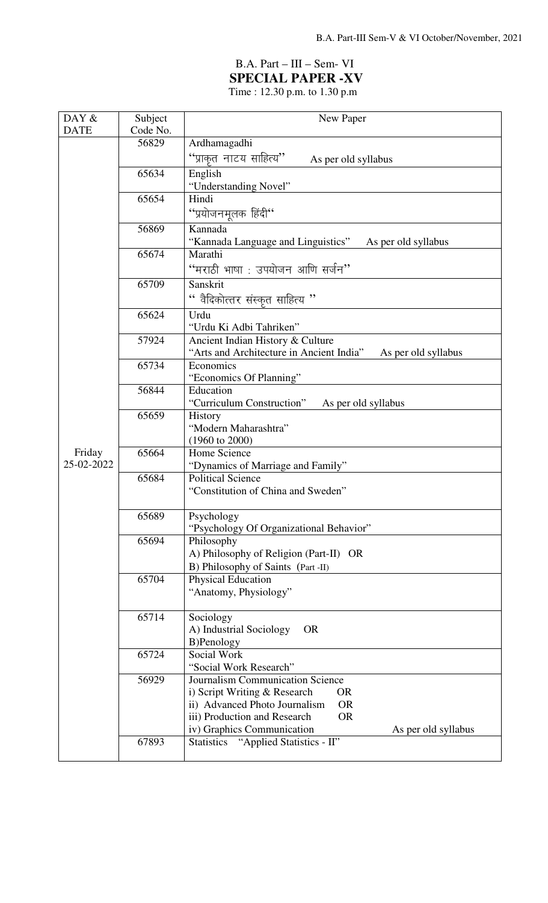# B.A. Part – III – Sem- VI **SPECIAL PAPER -XV**

Time : 12.30 p.m. to 1.30 p.m

| DAY &                | Subject  | New Paper                                                                      |
|----------------------|----------|--------------------------------------------------------------------------------|
| <b>DATE</b>          | Code No. |                                                                                |
|                      | 56829    | Ardhamagadhi                                                                   |
|                      |          | "प्राकृत नाटय साहित्य"<br>As per old syllabus                                  |
|                      | 65634    | English                                                                        |
|                      |          | "Understanding Novel"                                                          |
|                      | 65654    | Hindi                                                                          |
|                      |          | "प्रयोजनमूलक हिंदी"                                                            |
|                      | 56869    | Kannada                                                                        |
|                      |          | "Kannada Language and Linguistics"<br>As per old syllabus                      |
|                      | 65674    | Marathi                                                                        |
|                      |          | ''मराठी भाषा : उपयोजन आणि सर्जन''                                              |
|                      | 65709    | Sanskrit                                                                       |
|                      |          | " वैदिकोत्तर संस्कृत साहित्य "                                                 |
|                      | 65624    | Urdu                                                                           |
|                      |          | "Urdu Ki Adbi Tahriken"                                                        |
|                      | 57924    | Ancient Indian History & Culture                                               |
|                      |          | "Arts and Architecture in Ancient India"<br>As per old syllabus                |
|                      | 65734    | Economics                                                                      |
|                      | 56844    | "Economics Of Planning"<br>Education                                           |
| Friday<br>25-02-2022 |          | "Curriculum Construction"<br>As per old syllabus                               |
|                      | 65659    | History                                                                        |
|                      |          | "Modern Maharashtra"                                                           |
|                      |          | $(1960 \text{ to } 2000)$                                                      |
|                      | 65664    | Home Science                                                                   |
|                      |          | "Dynamics of Marriage and Family"                                              |
|                      | 65684    | <b>Political Science</b>                                                       |
|                      |          | "Constitution of China and Sweden"                                             |
|                      | 65689    | Psychology                                                                     |
|                      |          | "Psychology Of Organizational Behavior"                                        |
|                      | 65694    | Philosophy                                                                     |
|                      |          | A) Philosophy of Religion (Part-II) OR                                         |
|                      |          | B) Philosophy of Saints (Part -II)                                             |
|                      | 65704    | <b>Physical Education</b>                                                      |
|                      |          | "Anatomy, Physiology"                                                          |
|                      | 65714    | Sociology                                                                      |
|                      |          | A) Industrial Sociology<br><b>OR</b>                                           |
|                      |          | B)Penology                                                                     |
|                      | 65724    | Social Work                                                                    |
|                      |          | "Social Work Research"                                                         |
|                      | 56929    | Journalism Communication Science                                               |
|                      |          | i) Script Writing & Research<br><b>OR</b>                                      |
|                      |          | ii) Advanced Photo Journalism<br><b>OR</b>                                     |
|                      |          | iii) Production and Research<br><b>OR</b>                                      |
|                      | 67893    | iv) Graphics Communication<br>As per old syllabus<br>"Applied Statistics - II" |
|                      |          | <b>Statistics</b>                                                              |